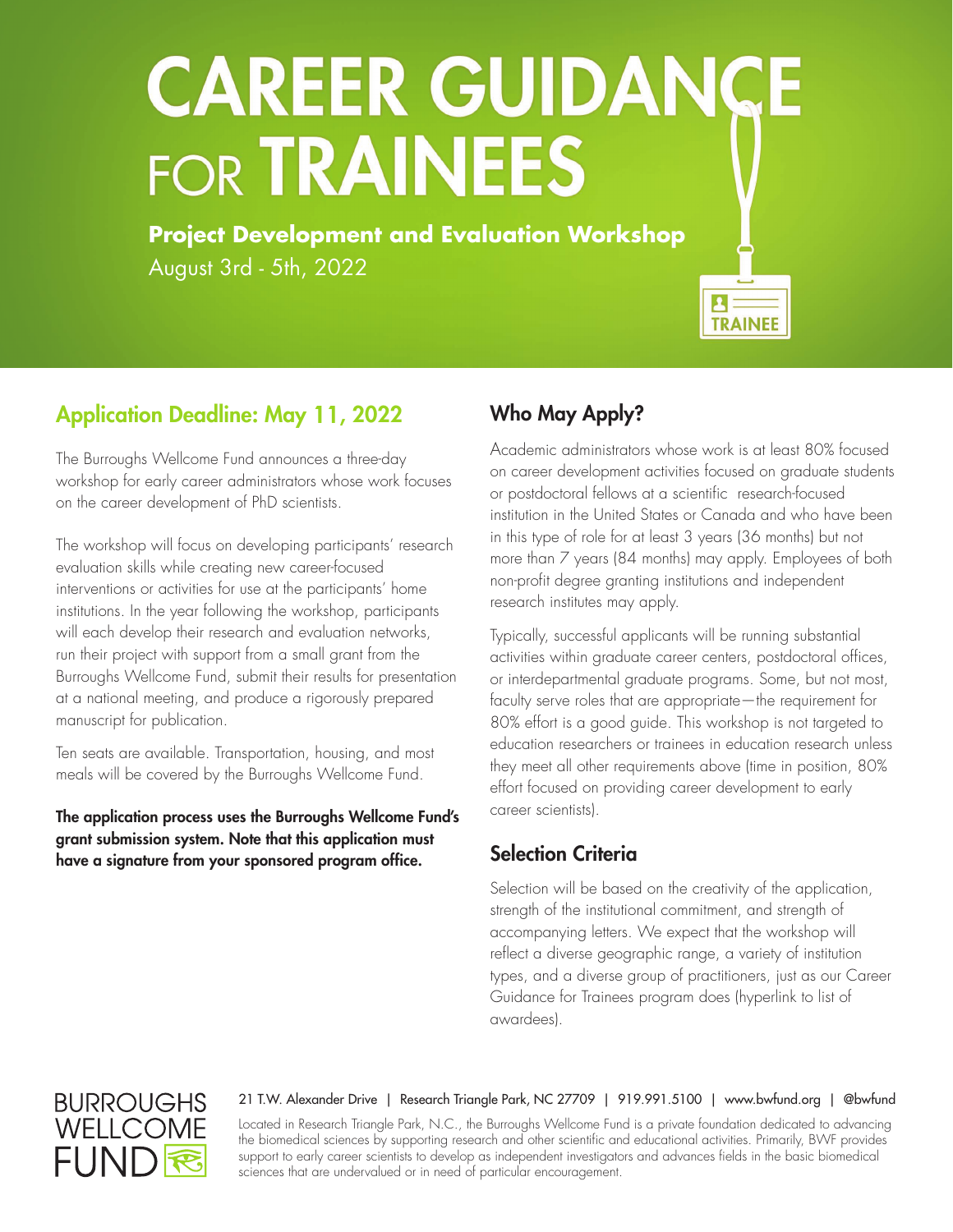# **CAREER GUIDANCE FOR TRAINEES**

**Project Development and Evaluation Workshop** August 3rd - 5th, 2022



### Application Deadline: May 11, 2022

The Burroughs Wellcome Fund announces a three-day workshop for early career administrators whose work focuses on the career development of PhD scientists.

The workshop will focus on developing participants' research evaluation skills while creating new career-focused interventions or activities for use at the participants' home institutions. In the year following the workshop, participants will each develop their research and evaluation networks, run their project with support from a small grant from the Burroughs Wellcome Fund, submit their results for presentation at a national meeting, and produce a rigorously prepared manuscript for publication.

Ten seats are available. Transportation, housing, and most meals will be covered by the Burroughs Wellcome Fund.

The application process uses the Burroughs Wellcome Fund's grant submission system. Note that this application must have a signature from your sponsored program office.

#### Who May Apply?

Academic administrators whose work is at least 80% focused on career development activities focused on graduate students or postdoctoral fellows at a scientific research-focused institution in the United States or Canada and who have been in this type of role for at least 3 years (36 months) but not more than 7 years (84 months) may apply. Employees of both non-profit degree granting institutions and independent research institutes may apply.

Typically, successful applicants will be running substantial activities within graduate career centers, postdoctoral offices, or interdepartmental graduate programs. Some, but not most, faculty serve roles that are appropriate—the requirement for 80% effort is a good guide. This workshop is not targeted to education researchers or trainees in education research unless they meet all other requirements above (time in position, 80% effort focused on providing career development to early career scientists).

#### Selection Criteria

Selection will be based on the creativity of the application, strength of the institutional commitment, and strength of accompanying letters. We expect that the workshop will reflect a diverse geographic range, a variety of institution types, and a diverse group of practitioners, just as our Career Guidance for Trainees program does (hyperlink to list of awardees).

## **BURROUGHS** WELLCOME FUNI

#### 21 T.W. Alexander Drive | Research Triangle Park, NC 27709 | 919.991.5100 | www.bwfund.org | @bwfund

Located in Research Triangle Park, N.C., the Burroughs Wellcome Fund is a private foundation dedicated to advancing the biomedical sciences by supporting research and other scientific and educational activities. Primarily, BWF provides support to early career scientists to develop as independent investigators and advances fields in the basic biomedical sciences that are undervalued or in need of particular encouragement.